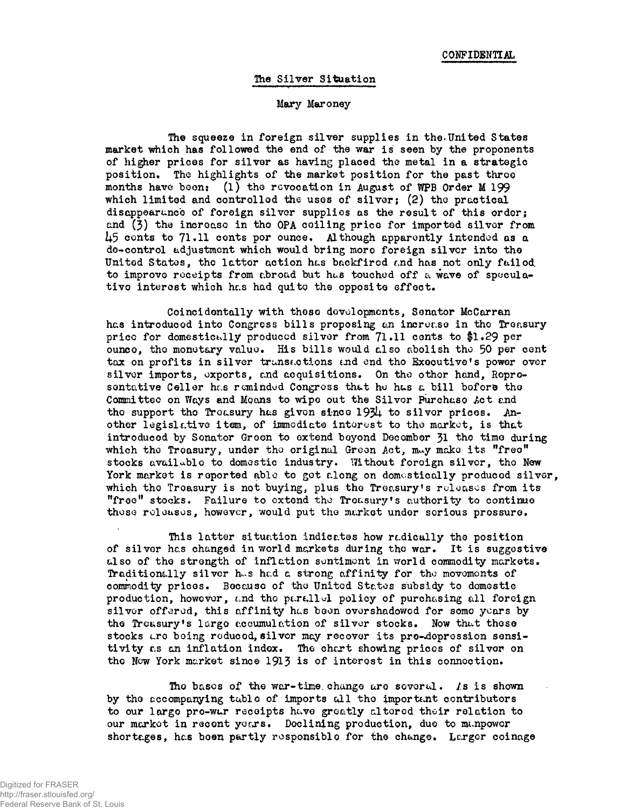#### The Silver Situation

#### Mary Maroney

The squeeze in foreign silver supplies in the.United States market which has followed the end of the war is seen by the proponents of higher prices for silvor as having placed the metal in a strategic position. The highlights of the market position for the past throe months have boon: (1) the revocation in August of WPB Order M 199 which limited and controlled the uses of silver;  $(2)$  the practical disappear unco of foreign silver supplies as the result of this order; and (3) the increase in the OPA coiling price for imported silver from  $\mu$ 5 conts to 71.11 conts por ounce. Although apparently intended as a do-control adjustment which would bring moro foreign silver into tho United States, the latter action has backfired and has not only failed to improve receipts from abroad but hus touched off a wave of speculativo interest which has had quito the opposite effect.

Coincidentally with theso developments, Senator McCarran has introduced into Congress bills proposing an increase in the Treasury prico for domestically produced silver from  $71.11$  cents to \$1.29 per ounce, tho monetary value. His bills would also abolish tho 50 per cent tax on profits in silver transactions and end tho Executive's power over silver imports, exports, and acquisitions. On the other hand, Representative Celler has reminded Congress that he has a bill before the Committee on Ways and Moans to wipe out the Silvor Purchaso Act and the support the Treasury has given since 1934 to silver prices. Another legislative item, of immediate interest to the market, is that introduced by Senator Green to extend boyond Decombor 31 tho time during which the Treasury, under the original Green Act, may make its "free" stocks available to domestic industry. Without foreign silver, the New York market is reported able to got along on domestically produced silver, which the Treasury is not buying, plus the Treasury's releases from its "free" stocks. Failure to extend tho Treasury's authority to continue these releases, however, would put the market under serious pressure.

This latter situation indicates how rcdically tho position of silvor has changed in world markets during the war. It is suggestive also of the strength of inflation sentiment in world commodity markets. Traditionally silvor h^s had a strong affinity for tho movements of commodity prices. Because of the United States subsidy to domestic production, however, and the parallel policy of purchasing all foreign silver offered, this affinity has been overshadowed for some years by the Treasury's largo accumulation of silver stocks. Now thut these stocks ere being reduced, silvor may recover its pro-doprossion sensitivity as an inflation index. The chart showing prices of silver on tho New York market since 1913 is *of* interest in this connection\*

The bases of the war-time change are soveral.  $\ell$ s is shown by the accompanying tublo of imports *0.1* the important contributors to our largo pro-wur receipts huve greatly altered their relation to our market in recent yours. Declining production, due to manpower shortages, has been partly responsible for the change. Larger coinage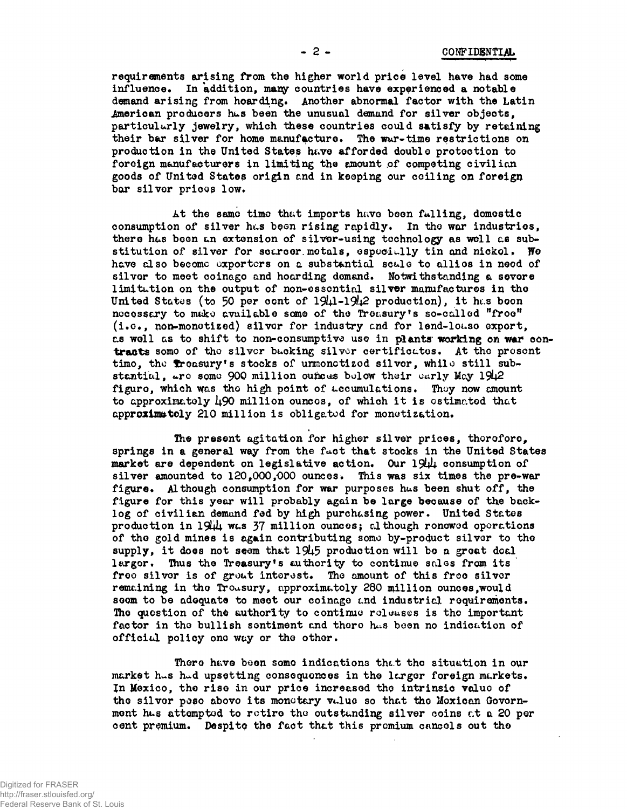**requirements arising from the higher world price level have had some** influence. In addition, many countries have experienced a notable **demand arising from hoarding. Another abnormal factor with the Latin American producers hus been the unusual demand for silver objects, particularly jewelry, which these countries could satisfy by retaining** their bar silver for home manufacture. The war-time restrictions on **production in the United States h^ve afforded double protection to** foreign manufacturers in limiting the amount of competing civilian **goods of United States origin and in keeping our coiling on foreign bar silvor prices low.**

At the same time that imports have been falling, domestic **consumption of silver has** *byen* **rising rapidly. In the war industries,** there has been an extension of silver-using technology as well as sub**stitution of silvor for scarcer, motals, especially tin and nickol. We have also became exporters on a substantial scale to allios in need of silvor to meet coinago and hoarding demand. Notwithstanding a severe limitution on the output of non-essential silver manufactures in the** United States (to 50 per cont of 1941-1942 production), it has boon nccessary to make available some of the Treasury's so-called "froe' **(i.o. , non-monetiz©d) silvor for industry and for lend-louso export,** as well as to shift to non-consumptive use in plants working on war con**tracts somo of the silver bucking silvor certificates. At the present timo, the freasury's stocks of unmonctized silver, while still sub**stantial, are some 900 million ounces bolow their early May 1942 **figuro, which was tho high point of accumulations. Thoy now cmount to approximately I4.9O million ouncos, of which i t is estimated that approxlxa&tely 210 million is obligated for monotiz&tion.**

The present agitation for higher silver prices, therefore, **springs in a general way from the fact that stocks in the United States market are dependent on legislative action. Our 19W+ consumption of silver amounted to 120,000,000 ounces. This was six times the pre-war figure. Although consumption for war purposes hus been shut off, the figure for this year will probably again be large because of the backlog of civilian demand fed by high purchasing power. United States production in 19WU was 37 million ounces? although ronowod operations of tho gold mines is again contributing somo by-product silvor to the** supply, it does not seem that 1945 production will be a great deal largor. Thus the Treasury's authority to continue sales from its **freo silvor is of grout interest. Tho amount of this froo silvor remaining in tho Treasury, approximately 280 million ounces,would soom to be adoquato to moot our coinage end industrial, requirements. Tho question of tho authority to continue releases is tho important factor in the bullish sentiment and there hc.s been no indication of official policy one way or the other.**

There have been some indications that the situation in our market has had upsetting consequences in the larger foreign markets. *%n* **Mexico, the riso in our price increased tho intrinsic valuo of** the silvor peso abovo its monetary vulue so that the Mexican Govern**mont hus attempted to retire the outstanding silver coins c\t a 20 por cent premium. Despite the fact that this premium cancels out tho**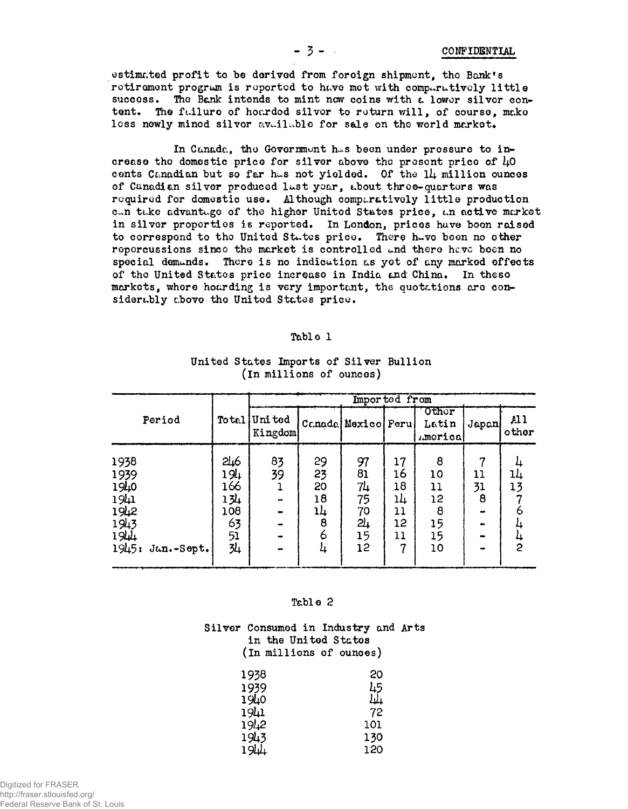estimated profit to be derived from forcign shipment, the Bank's rotirement program is reported to have met with comparatively little succoss. The Bank intends to mint now coins with a lower silver content. The failure of hoarded silver to return will, of course, make less newly mined silver available for sale on the world market.

In Canada, the Government has been under pressure to increase the domestic price for silver above the present price of  $\mu_0$ conts Canadian but so far has not yielded. Of the 14 million ounces of Canadian silver produced last year, about three-quarters was required for domestic use. Although comparatively little production can take advantage of the higher United States price, an active market in silver properties is reported. In London, prices have boen raised to correspond to the United States price. There have been no other repercussions since the market is controlled and there have been no special demands. There is no indication as yet of any marked effects of the United States price increase in India and China. In these markets, where hoarding is very important, the quotations are considerably above the United States price.

| $\mathbf{r}_\mathbf{a}$ b <sub>r</sub> |  |
|----------------------------------------|--|
|----------------------------------------|--|

| Period                                                                   | To tal                                             | Imported from      |                                 |                                              |                                              |                                            |                    |             |
|--------------------------------------------------------------------------|----------------------------------------------------|--------------------|---------------------------------|----------------------------------------------|----------------------------------------------|--------------------------------------------|--------------------|-------------|
|                                                                          |                                                    | Uni ted<br>Kingdom |                                 | Canada Mexico Peru                           |                                              | <b>Othor</b><br>Latin<br>America           | Japan              | AI<br>other |
| 1938<br>1939<br>1940<br>1941<br>1942<br>1943<br>1944<br>1945: Jan.-Sept. | 5116<br>194<br>166<br>134<br>108<br>63<br>51<br>34 | 83<br>39           | 29<br>23<br>20<br>18<br>14<br>8 | 97<br>81<br>71<br>75<br>70<br>24<br>15<br>12 | 17<br>16<br>.18<br>14<br>11<br>12<br>11<br>7 | 8<br>10<br>11<br>12<br>8<br>15<br>15<br>10 | 7<br>11<br>31<br>8 | 13<br>2     |

# United States Imports of Silver Bullion (In millions of ounces)

#### Table 2

# Silver Consumed in Industry and Arts in the United States (In millions of ounces)

| 1938 | 20   |
|------|------|
| 1939 | 45   |
| 1940 | ىلىل |
| 1941 | 72   |
| 1942 | 101  |
| 1943 | 130  |
| 1944 | 120  |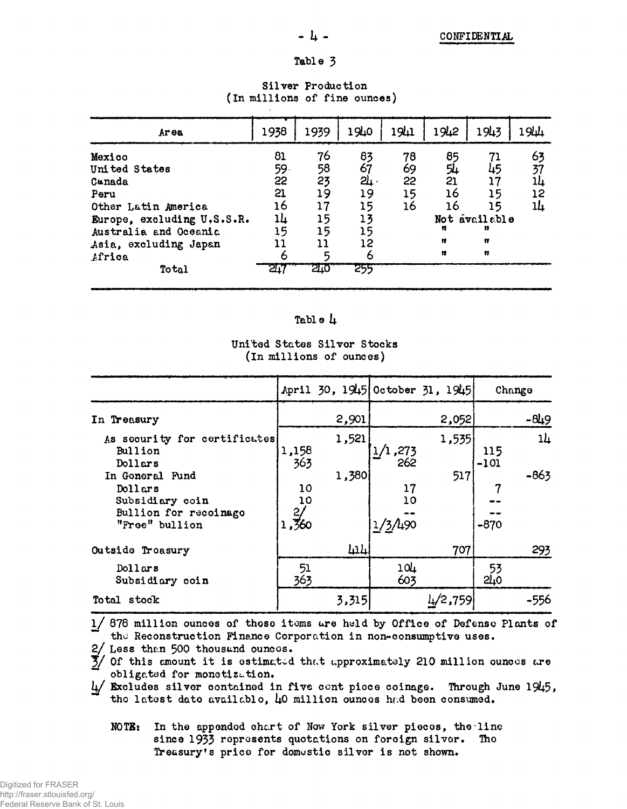#### - 4 -

# Table 3

#### 1942 1940 1941 1943  $194 +$ 1938 1939 Ar ea 63 Mexico 81 76 83 78 85 71 59. 58  $67$ 54 United States 69 45 37 23 त्रा : 21 55 22  $17$ 14 Canada  $21$ 19 19 16  $15$ 15 12 Peru Other Latin America 16  $17$ 15 16 16  $15$ 14 14  $15$ 13 Not available Europe, excluding U.S.S.R. 15 15  $\mathbf{B}$  $\mathbf{r}$ 15 Australia and Oceania Ħ Ħ  $12$  $11$  $\mathbf{1}$ Asia, excluding Japan  $\mathfrak n$ Ħ 6 Africa 6 5 या  $510<sup>1</sup>$ 255 Total

#### Silver Production (In millions of fine ounces)

# Table  $\mu$

# United States Silver Stocks (In millions of ounces)

|                                                                                          |                         | April 30, 1945 October 31, 1945 |                     |         | Change        |        |
|------------------------------------------------------------------------------------------|-------------------------|---------------------------------|---------------------|---------|---------------|--------|
| In Treasury                                                                              |                         | 2,901                           |                     | 2,052   |               | $-849$ |
| As security for certificates<br>Bullion<br>Dollars                                       | 1,158<br>363            | 1,521                           | 1/1,273<br>262      | 1,535   | 115<br>$-101$ | $1+$   |
| In Goneral Fund<br>Dollars<br>Subsidiary coin<br>Bullion for recoinago<br>"Free" bullion | 10<br>10<br>2,<br>1,360 | 1,380                           | 17<br>10<br>1/3/490 | 517     | $-870$        | $-863$ |
| Outside Treasury                                                                         |                         | 414                             |                     | 707     |               | 293    |
| $D$ ollars<br>Subsidiary coin                                                            | 51<br>363               |                                 | 104<br>603          |         | 53<br>210     |        |
| Total stock                                                                              |                         | 3,315                           |                     | 4/2,759 |               | $-556$ |

878 million ounces of those items are held by Office of Defense Plants of  $1/$ the Reconstruction Finance Corporation in non-consumptive uses.

2/ Less than 500 thousand ounces.

 $\overline{3}$  of this amount it is estimated that approximately 210 million ounces are obligated for monetization.

Excludes silver contained in five cont picce coinage. Through June 1945, the latest date available, 40 million ounces had been consumed.

In the appended chart of New York silver pieces, the line  $NOTB:$ since 1933 represents quotations on foreign silver. The Treasury's price for domestic silver is not shown.